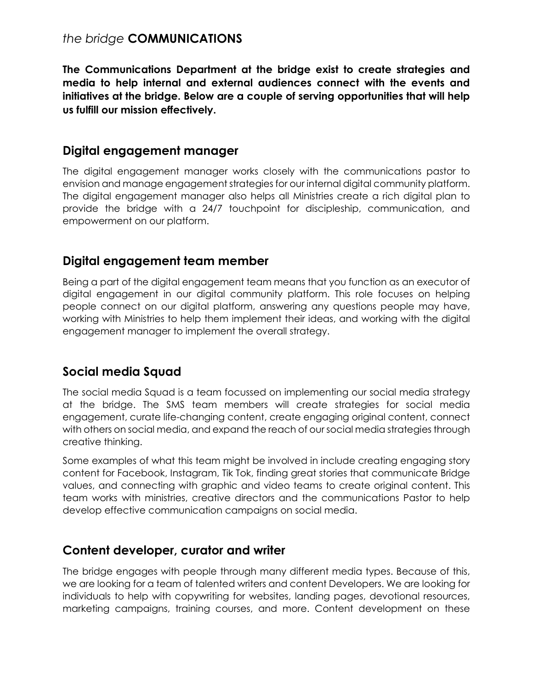#### *the bridge* **COMMUNICATIONS**

**The Communications Department at the bridge exist to create strategies and media to help internal and external audiences connect with the events and initiatives at the bridge. Below are a couple of serving opportunities that will help us fulfill our mission effectively.**

#### **Digital engagement manager**

The digital engagement manager works closely with the communications pastor to envision and manage engagement strategies for our internal digital community platform. The digital engagement manager also helps all Ministries create a rich digital plan to provide the bridge with a 24/7 touchpoint for discipleship, communication, and empowerment on our platform.

### **Digital engagement team member**

Being a part of the digital engagement team means that you function as an executor of digital engagement in our digital community platform. This role focuses on helping people connect on our digital platform, answering any questions people may have, working with Ministries to help them implement their ideas, and working with the digital engagement manager to implement the overall strategy.

# **Social media Squad**

The social media Squad is a team focussed on implementing our social media strategy at the bridge. The SMS team members will create strategies for social media engagement, curate life-changing content, create engaging original content, connect with others on social media, and expand the reach of our social media strategies through creative thinking.

Some examples of what this team might be involved in include creating engaging story content for Facebook, Instagram, Tik Tok, finding great stories that communicate Bridge values, and connecting with graphic and video teams to create original content. This team works with ministries, creative directors and the communications Pastor to help develop effective communication campaigns on social media.

#### **Content developer, curator and writer**

The bridge engages with people through many different media types. Because of this, we are looking for a team of talented writers and content Developers. We are looking for individuals to help with copywriting for websites, landing pages, devotional resources, marketing campaigns, training courses, and more. Content development on these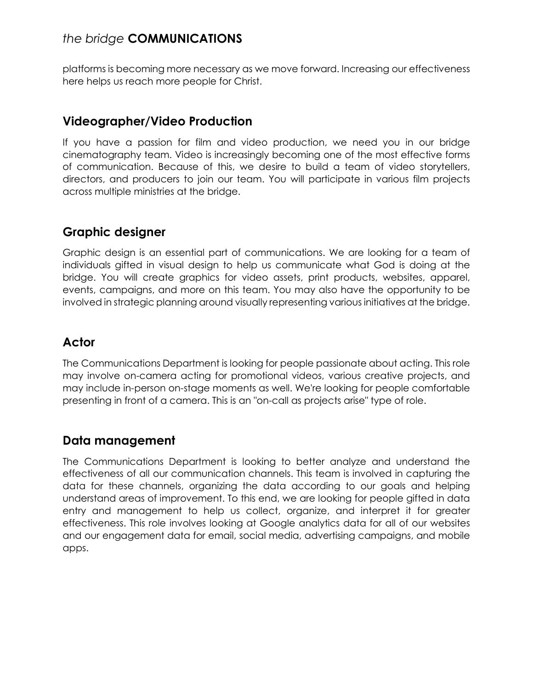# *the bridge* **COMMUNICATIONS**

platforms is becoming more necessary as we move forward. Increasing our effectiveness here helps us reach more people for Christ.

### **Videographer/Video Production**

If you have a passion for film and video production, we need you in our bridge cinematography team. Video is increasingly becoming one of the most effective forms of communication. Because of this, we desire to build a team of video storytellers, directors, and producers to join our team. You will participate in various film projects across multiple ministries at the bridge.

# **Graphic designer**

Graphic design is an essential part of communications. We are looking for a team of individuals gifted in visual design to help us communicate what God is doing at the bridge. You will create graphics for video assets, print products, websites, apparel, events, campaigns, and more on this team. You may also have the opportunity to be involved in strategic planning around visually representing various initiatives at the bridge.

# **Actor**

The Communications Department is looking for people passionate about acting. This role may involve on-camera acting for promotional videos, various creative projects, and may include in-person on-stage moments as well. We're looking for people comfortable presenting in front of a camera. This is an "on-call as projects arise" type of role.

### **Data management**

The Communications Department is looking to better analyze and understand the effectiveness of all our communication channels. This team is involved in capturing the data for these channels, organizing the data according to our goals and helping understand areas of improvement. To this end, we are looking for people gifted in data entry and management to help us collect, organize, and interpret it for greater effectiveness. This role involves looking at Google analytics data for all of our websites and our engagement data for email, social media, advertising campaigns, and mobile apps.